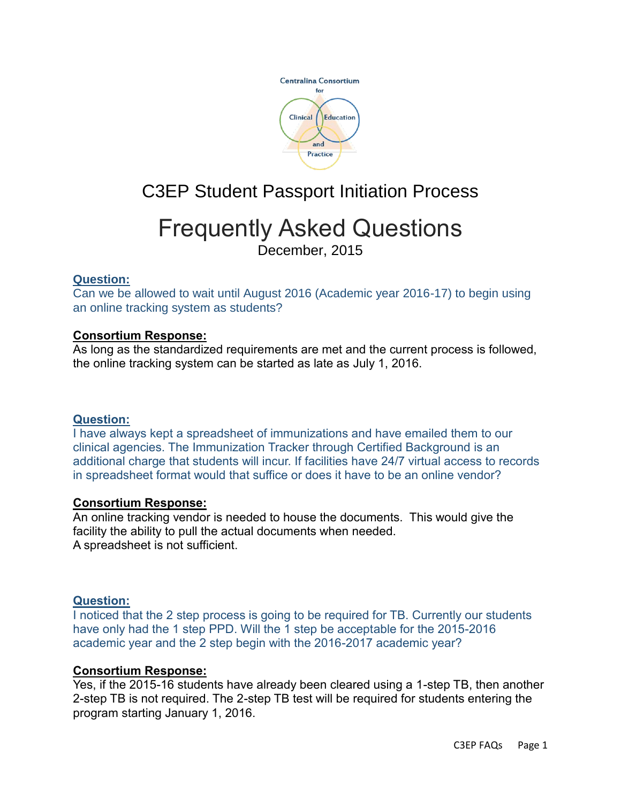

# C3EP Student Passport Initiation Process

# Frequently Asked Questions

December, 2015

# **Question:**

Can we be allowed to wait until August 2016 (Academic year 2016-17) to begin using an online tracking system as students?

# **Consortium Response:**

As long as the standardized requirements are met and the current process is followed, the online tracking system can be started as late as July 1, 2016.

# **Question:**

I have always kept a spreadsheet of immunizations and have emailed them to our clinical agencies. The Immunization Tracker through Certified Background is an additional charge that students will incur. If facilities have 24/7 virtual access to records in spreadsheet format would that suffice or does it have to be an online vendor?

# **Consortium Response:**

An online tracking vendor is needed to house the documents. This would give the facility the ability to pull the actual documents when needed. A spreadsheet is not sufficient.

# **Question:**

I noticed that the 2 step process is going to be required for TB. Currently our students have only had the 1 step PPD. Will the 1 step be acceptable for the 2015-2016 academic year and the 2 step begin with the 2016-2017 academic year?

# **Consortium Response:**

Yes, if the 2015-16 students have already been cleared using a 1-step TB, then another 2-step TB is not required. The 2-step TB test will be required for students entering the program starting January 1, 2016.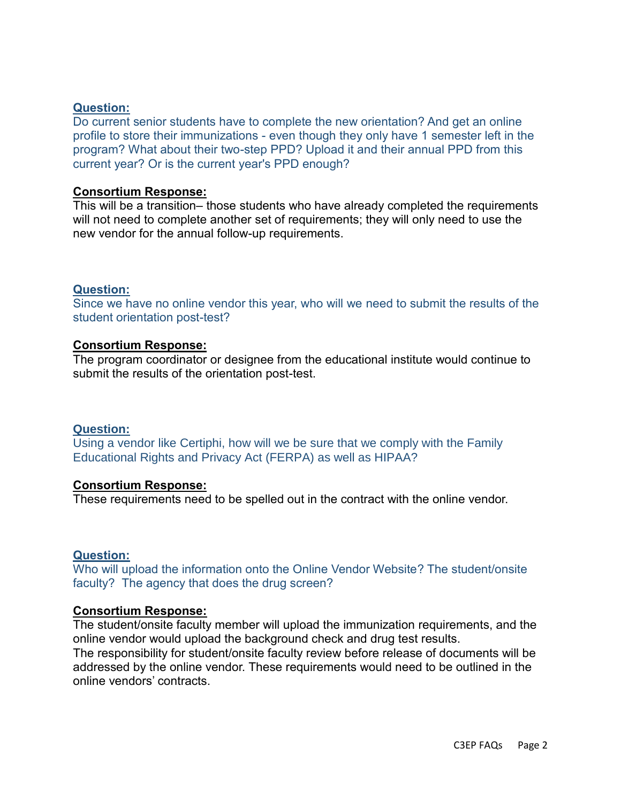#### **Question:**

Do current senior students have to complete the new orientation? And get an online profile to store their immunizations - even though they only have 1 semester left in the program? What about their two-step PPD? Upload it and their annual PPD from this current year? Or is the current year's PPD enough?

#### **Consortium Response:**

This will be a transition– those students who have already completed the requirements will not need to complete another set of requirements; they will only need to use the new vendor for the annual follow-up requirements.

#### **Question:**

Since we have no online vendor this year, who will we need to submit the results of the student orientation post-test?

#### **Consortium Response:**

The program coordinator or designee from the educational institute would continue to submit the results of the orientation post-test.

#### **Question:**

Using a vendor like Certiphi, how will we be sure that we comply with the Family Educational Rights and Privacy Act (FERPA) as well as HIPAA?

#### **Consortium Response:**

These requirements need to be spelled out in the contract with the online vendor.

#### **Question:**

Who will upload the information onto the Online Vendor Website? The student/onsite faculty? The agency that does the drug screen?

#### **Consortium Response:**

The student/onsite faculty member will upload the immunization requirements, and the online vendor would upload the background check and drug test results.

The responsibility for student/onsite faculty review before release of documents will be addressed by the online vendor. These requirements would need to be outlined in the online vendors' contracts.